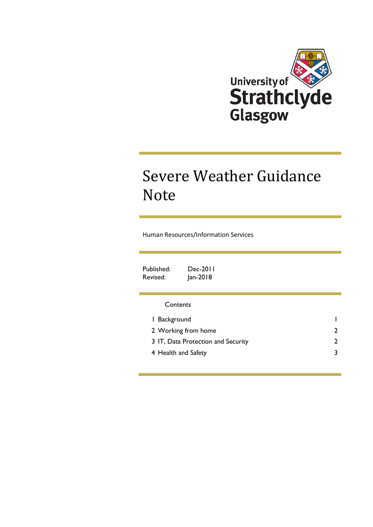

# Severe Weather Guidance Note

Human Resources/Information Services

Published: Dec-2011 Revised: Jan-2018

#### **Contents**

| 2 Working from home                |              |
|------------------------------------|--------------|
| 3 IT, Data Protection and Security |              |
| 4 Health and Safety                |              |
|                                    | I Background |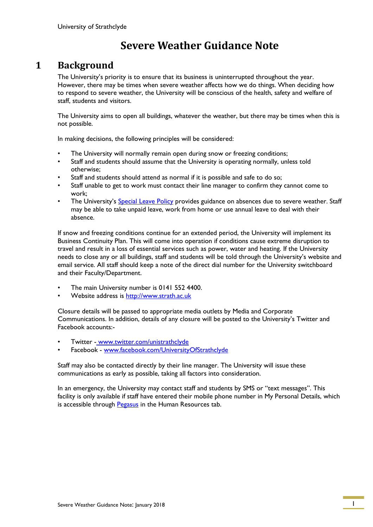# **Severe Weather Guidance Note**

### <span id="page-1-0"></span>**1 Background**

The University's priority is to ensure that its business is uninterrupted throughout the year. However, there may be times when severe weather affects how we do things. When deciding how to respond to severe weather, the University will be conscious of the health, safety and welfare of staff, students and visitors.

The University aims to open all buildings, whatever the weather, but there may be times when this is not possible.

In making decisions, the following principles will be considered:

- The University will normally remain open during snow or freezing conditions;
- Staff and students should assume that the University is operating normally, unless told otherwise;
- Staff and students should attend as normal if it is possible and safe to do so;
- Staff unable to get to work must contact their line manager to confirm they cannot come to work;
- The University's **[Special Leave Policy](http://www.strath.ac.uk/media/ps/humanresources/policies/Special_Leave_Policy.pdf)** provides guidance on absences due to severe weather. Staff may be able to take unpaid leave, work from home or use annual leave to deal with their absence.

If snow and freezing conditions continue for an extended period, the University will implement its Business Continuity Plan. This will come into operation if conditions cause extreme disruption to travel and result in a loss of essential services such as power, water and heating. If the University needs to close any or all buildings, staff and students will be told through the University's website and email service. All staff should keep a note of the direct dial number for the University switchboard and their Faculty/Department.

- The main University number is 0141 552 4400.
- Website address is [http://www.strath.ac.uk](http://www.strath.ac.uk/)

Closure details will be passed to appropriate media outlets by Media and Corporate Communications. In addition, details of any closure will be posted to the University's Twitter and Facebook accounts:-

- Twitter [www.twitter.com/unistrathclyde](http://www.twitter.com/unistrathclyde)
- Facebook [www.facebook.com/UniversityOfStrathclyde](http://www.facebook.com/UniversityOfStrathclyde)

Staff may also be contacted directly by their line manager. The University will issue these communications as early as possible, taking all factors into consideration.

<span id="page-1-1"></span>In an emergency, the University may contact staff and students by SMS or "text messages". This facility is only available if staff have entered their mobile phone number in My Personal Details, which is accessible through [Pegasus](https://but.mis.strath.ac.uk/login/control/Login) in the Human Resources tab.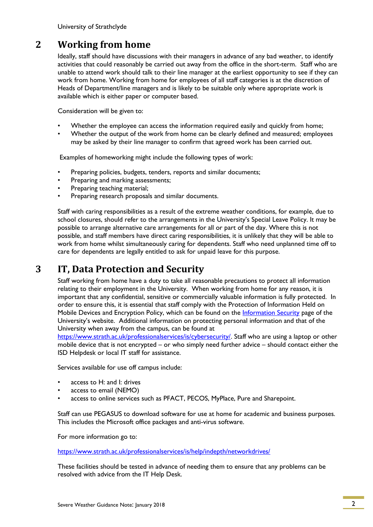University of Strathclyde

# **2 Working from home**

Ideally, staff should have discussions with their managers in advance of any bad weather, to identify activities that could reasonably be carried out away from the office in the short-term. Staff who are unable to attend work should talk to their line manager at the earliest opportunity to see if they can work from home. Working from home for employees of all staff categories is at the discretion of Heads of Department/line managers and is likely to be suitable only where appropriate work is available which is either paper or computer based.

Consideration will be given to:

- Whether the employee can access the information required easily and quickly from home;
- Whether the output of the work from home can be clearly defined and measured; employees may be asked by their line manager to confirm that agreed work has been carried out.

Examples of homeworking might include the following types of work:

- Preparing policies, budgets, tenders, reports and similar documents;
- Preparing and marking assessments;
- Preparing teaching material;
- Preparing research proposals and similar documents.

Staff with caring responsibilities as a result of the extreme weather conditions, for example, due to school closures, should refer to the arrangements in the University's Special Leave Policy. It may be possible to arrange alternative care arrangements for all or part of the day. Where this is not possible, and staff members have direct caring responsibilities, it is unlikely that they will be able to work from home whilst simultaneously caring for dependents. Staff who need unplanned time off to care for dependents are legally entitled to ask for unpaid leave for this purpose.

# <span id="page-2-0"></span>**3 IT, Data Protection and Security**

Staff working from home have a duty to take all reasonable precautions to protect all information relating to their employment in the University. When working from home for any reason, it is important that any confidential, sensitive or commercially valuable information is fully protected. In order to ensure this, it is essential that staff comply with the Protection of Information Held on Mobile Devices and Encryption Policy, which can be found on the [Information Security](http://www.strath.ac.uk/staff/policies/informationsecurity/) page of the University's website. Additional information on protecting personal information and that of the University when away from the campus, can be found at

[https://www.strath.ac.uk/professionalservices/is/cybersecurity/.](https://www.strath.ac.uk/professionalservices/is/cybersecurity/) Staff who are using a laptop or other mobile device that is not encrypted – or who simply need further advice – should contact either the ISD Helpdesk or local IT staff for assistance.

Services available for use off campus include:

- access to H: and I: drives
- access to email (NEMO)
- access to online services such as PFACT, PECOS, MyPlace, Pure and Sharepoint.

Staff can use PEGASUS to download software for use at home for academic and business purposes. This includes the Microsoft office packages and anti-virus software.

For more information go to:

<https://www.strath.ac.uk/professionalservices/is/help/indepth/networkdrives/>

These facilities should be tested in advance of needing them to ensure that any problems can be resolved with advice from the IT Help Desk.